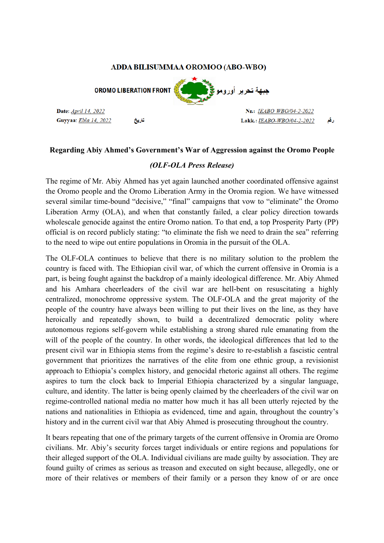## ADDA BILISUMMAA OROMOO (ABO-WBO)

**OROMO LIBERATION FRONT** 

Date: April 14, 2022 Guyyaa: Ebla 14, 2022 تاديخ



Nr.: IEABO WBO/04-2-2022 رقع Lakk.: IEABO-WBO/04-2-2022

## **Regarding Abiy Ahmed's Government's War of Aggression against the Oromo People**

## *(OLF-OLA Press Release)*

The regime of Mr. Abiy Ahmed has yet again launched another coordinated offensive against the Oromo people and the Oromo Liberation Army in the Oromia region. We have witnessed several similar time-bound "decisive," "final" campaigns that vow to "eliminate" the Oromo Liberation Army (OLA), and when that constantly failed, a clear policy direction towards wholescale genocide against the entire Oromo nation. To that end, a top Prosperity Party (PP) official is on record publicly stating: "to eliminate the fish we need to drain the sea" referring to the need to wipe out entire populations in Oromia in the pursuit of the OLA.

The OLF-OLA continues to believe that there is no military solution to the problem the country is faced with. The Ethiopian civil war, of which the current offensive in Oromia is a part, is being fought against the backdrop of a mainly ideological difference. Mr. Abiy Ahmed and his Amhara cheerleaders of the civil war are hell-bent on resuscitating a highly centralized, monochrome oppressive system. The OLF-OLA and the great majority of the people of the country have always been willing to put their lives on the line, as they have heroically and repeatedly shown, to build a decentralized democratic polity where autonomous regions self-govern while establishing a strong shared rule emanating from the will of the people of the country. In other words, the ideological differences that led to the present civil war in Ethiopia stems from the regime's desire to re-establish a fascistic central government that prioritizes the narratives of the elite from one ethnic group, a revisionist approach to Ethiopia's complex history, and genocidal rhetoric against all others. The regime aspires to turn the clock back to Imperial Ethiopia characterized by a singular language, culture, and identity. The latter is being openly claimed by the cheerleaders of the civil war on regime-controlled national media no matter how much it has all been utterly rejected by the nations and nationalities in Ethiopia as evidenced, time and again, throughout the country's history and in the current civil war that Abiy Ahmed is prosecuting throughout the country.

It bears repeating that one of the primary targets of the current offensive in Oromia are Oromo civilians. Mr. Abiy's security forces target individuals or entire regions and populations for their alleged support of the OLA. Individual civilians are made guilty by association. They are found guilty of crimes as serious as treason and executed on sight because, allegedly, one or more of their relatives or members of their family or a person they know of or are once